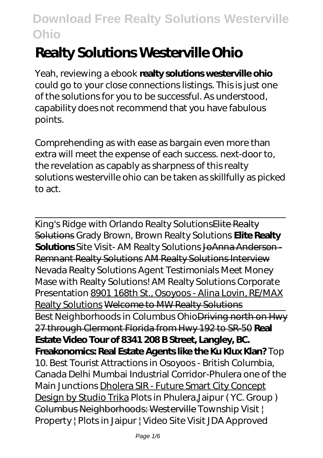# **Realty Solutions Westerville Ohio**

Yeah, reviewing a ebook **realty solutions westerville ohio** could go to your close connections listings. This is just one of the solutions for you to be successful. As understood, capability does not recommend that you have fabulous points.

Comprehending as with ease as bargain even more than extra will meet the expense of each success. next-door to, the revelation as capably as sharpness of this realty solutions westerville ohio can be taken as skillfully as picked to act.

King's Ridge with Orlando Realty SolutionsElite Realty Solutions *Grady Brown, Brown Realty Solutions* **Elite Realty Solutions** *Site Visit- AM Realty Solutions* JoAnna Anderson - Remnant Realty Solutions AM Realty Solutions Interview *Nevada Realty Solutions Agent Testimonials Meet Money Mase with Realty Solutions! AM Realty Solutions Corporate Presentation* 8901 168th St., Osoyoos - Alina Lovin, RE/MAX Realty Solutions Welcome to MW Realty Solutions Best Neighborhoods in Columbus OhioDriving north on Hwy 27 through Clermont Florida from Hwy 192 to SR-50 **Real Estate Video Tour of 8341 208 B Street, Langley, BC. Freakonomics: Real Estate Agents like the Ku Klux Klan?** *Top 10. Best Tourist Attractions in Osoyoos - British Columbia, Canada Delhi Mumbai Industrial Corridor-Phulera one of the Main Junctions* Dholera SIR - Future Smart City Concept Design by Studio Trika *Plots in Phulera,Jaipur ( YC. Group )* Columbus Neighborhoods: Westerville Township Visit | Property | Plots in Jaipur | Video Site Visit JDA Approved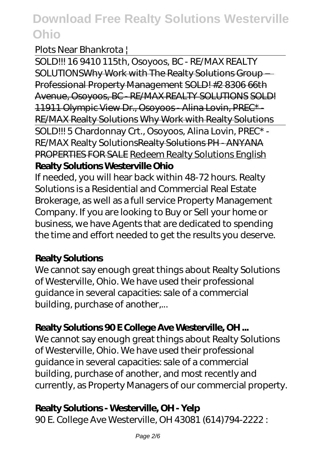#### Plots Near Bhankrota |

SOLD!!! 16 9410 115th, Osoyoos, BC - RE/MAX REALTY SOLUTIONSWhy Work with The Realty Solutions Group – Professional Property Management SOLD! #2 8306 66th Avenue, Osoyoos, BC - RE/MAX REALTY SOLUTIONS SOLD! 11911 Olympic View Dr., Osoyoos - Alina Lovin, PREC\* - RE/MAX Realty Solutions Why Work with Realty Solutions SOLD!!! 5 Chardonnay Crt., Osoyoos, Alina Lovin, PREC\* - RE/MAX Realty SolutionsRealty Solutions PH - ANYANA PROPERTIES FOR SALE Redeem Realty Solutions English **Realty Solutions Westerville Ohio**

If needed, you will hear back within 48-72 hours. Realty Solutions is a Residential and Commercial Real Estate Brokerage, as well as a full service Property Management Company. If you are looking to Buy or Sell your home or business, we have Agents that are dedicated to spending the time and effort needed to get the results you deserve.

#### **Realty Solutions**

We cannot say enough great things about Realty Solutions of Westerville, Ohio. We have used their professional guidance in several capacities: sale of a commercial building, purchase of another,...

## **Realty Solutions 90 E College Ave Westerville, OH ...**

We cannot say enough great things about Realty Solutions of Westerville, Ohio. We have used their professional guidance in several capacities: sale of a commercial building, purchase of another, and most recently and currently, as Property Managers of our commercial property.

#### **Realty Solutions - Westerville, OH - Yelp**

90 E. College Ave Westerville, OH 43081 (614)794-2222 :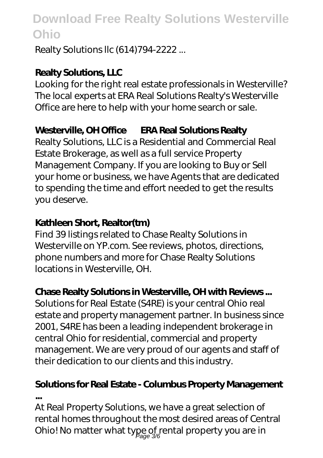Realty Solutions llc (614)794-2222 ...

### **Realty Solutions, LLC**

Looking for the right real estate professionals in Westerville? The local experts at ERA Real Solutions Realty's Westerville Office are here to help with your home search or sale.

## **Westerville, OH Office — ERA Real Solutions Realty**

Realty Solutions, LLC is a Residential and Commercial Real Estate Brokerage, as well as a full service Property Management Company. If you are looking to Buy or Sell your home or business, we have Agents that are dedicated to spending the time and effort needed to get the results you deserve.

## **Kathleen Short, Realtor(tm)**

Find 39 listings related to Chase Realty Solutions in Westerville on YP.com. See reviews, photos, directions, phone numbers and more for Chase Realty Solutions locations in Westerville, OH.

## **Chase Realty Solutions in Westerville, OH with Reviews ...**

Solutions for Real Estate (S4RE) is your central Ohio real estate and property management partner. In business since 2001, S4RE has been a leading independent brokerage in central Ohio for residential, commercial and property management. We are very proud of our agents and staff of their dedication to our clients and this industry.

### **Solutions for Real Estate - Columbus Property Management ...**

At Real Property Solutions, we have a great selection of rental homes throughout the most desired areas of Central Ohio! No matter what type of rental property you are in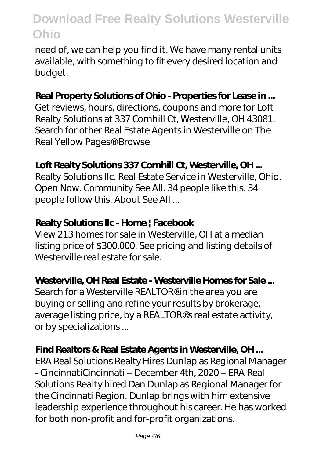need of, we can help you find it. We have many rental units available, with something to fit every desired location and budget.

#### **Real Property Solutions of Ohio - Properties for Lease in ...**

Get reviews, hours, directions, coupons and more for Loft Realty Solutions at 337 Cornhill Ct, Westerville, OH 43081. Search for other Real Estate Agents in Westerville on The Real Yellow Pages®. Browse

### **Loft Realty Solutions 337 Cornhill Ct, Westerville, OH ...**

Realty Solutions llc. Real Estate Service in Westerville, Ohio. Open Now. Community See All. 34 people like this. 34 people follow this. About See All ...

#### **Realty Solutions llc - Home | Facebook**

View 213 homes for sale in Westerville, OH at a median listing price of \$300,000. See pricing and listing details of Westerville real estate for sale.

#### **Westerville, OH Real Estate - Westerville Homes for Sale ...**

Search for a Westerville REALTOR<sup>®</sup> in the area you are buying or selling and refine your results by brokerage, average listing price, by a REALTOR®'s real estate activity, or by specializations ...

#### **Find Realtors & Real Estate Agents in Westerville, OH ...**

ERA Real Solutions Realty Hires Dunlap as Regional Manager - CincinnatiCincinnati – December 4th, 2020 – ERA Real Solutions Realty hired Dan Dunlap as Regional Manager for the Cincinnati Region. Dunlap brings with him extensive leadership experience throughout his career. He has worked for both non-profit and for-profit organizations.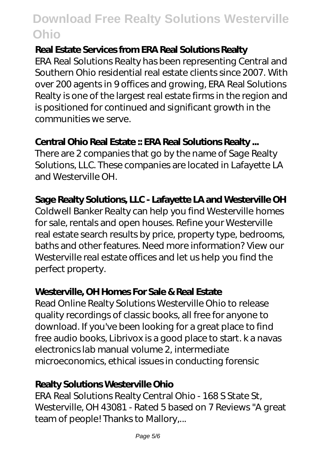#### **Real Estate Services from ERA Real Solutions Realty**

ERA Real Solutions Realty has been representing Central and Southern Ohio residential real estate clients since 2007. With over 200 agents in 9 offices and growing, ERA Real Solutions Realty is one of the largest real estate firms in the region and is positioned for continued and significant growth in the communities we serve.

#### **Central Ohio Real Estate :: ERA Real Solutions Realty ...**

There are 2 companies that go by the name of Sage Realty Solutions, LLC. These companies are located in Lafayette LA and Westerville OH.

#### **Sage Realty Solutions, LLC - Lafayette LA and Westerville OH**

Coldwell Banker Realty can help you find Westerville homes for sale, rentals and open houses. Refine your Westerville real estate search results by price, property type, bedrooms, baths and other features. Need more information? View our Westerville real estate offices and let us help you find the perfect property.

#### **Westerville, OH Homes For Sale & Real Estate**

Read Online Realty Solutions Westerville Ohio to release quality recordings of classic books, all free for anyone to download. If you've been looking for a great place to find free audio books, Librivox is a good place to start. k a navas electronics lab manual volume 2, intermediate microeconomics, ethical issues in conducting forensic

#### **Realty Solutions Westerville Ohio**

ERA Real Solutions Realty Central Ohio - 168 S State St, Westerville, OH 43081 - Rated 5 based on 7 Reviews "A great team of people! Thanks to Mallory,...